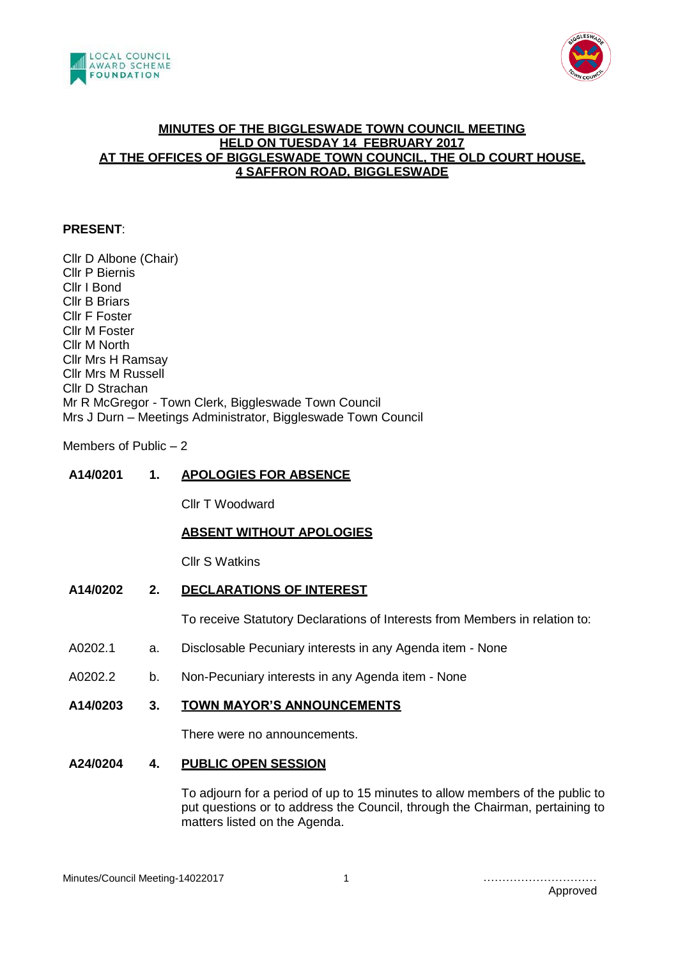



## **MINUTES OF THE BIGGLESWADE TOWN COUNCIL MEETING HELD ON TUESDAY 14 FEBRUARY 2017 AT THE OFFICES OF BIGGLESWADE TOWN COUNCIL, THE OLD COURT HOUSE, 4 SAFFRON ROAD, BIGGLESWADE**

## **PRESENT**:

Cllr D Albone (Chair) Cllr P Biernis Cllr I Bond Cllr B Briars Cllr F Foster Cllr M Foster Cllr M North Cllr Mrs H Ramsay Cllr Mrs M Russell Cllr D Strachan Mr R McGregor - Town Clerk, Biggleswade Town Council Mrs J Durn – Meetings Administrator, Biggleswade Town Council

Members of Public – 2

# **A14/0201 1. APOLOGIES FOR ABSENCE**

Cllr T Woodward

# **ABSENT WITHOUT APOLOGIES**

Cllr S Watkins

# **A14/0202 2. DECLARATIONS OF INTEREST**

To receive Statutory Declarations of Interests from Members in relation to:

- A0202.1 a. Disclosable Pecuniary interests in any Agenda item None
- A0202.2 b. Non-Pecuniary interests in any Agenda item None

#### **A14/0203 3. TOWN MAYOR'S ANNOUNCEMENTS**

There were no announcements.

#### **A24/0204 4. PUBLIC OPEN SESSION**

To adjourn for a period of up to 15 minutes to allow members of the public to put questions or to address the Council, through the Chairman, pertaining to matters listed on the Agenda.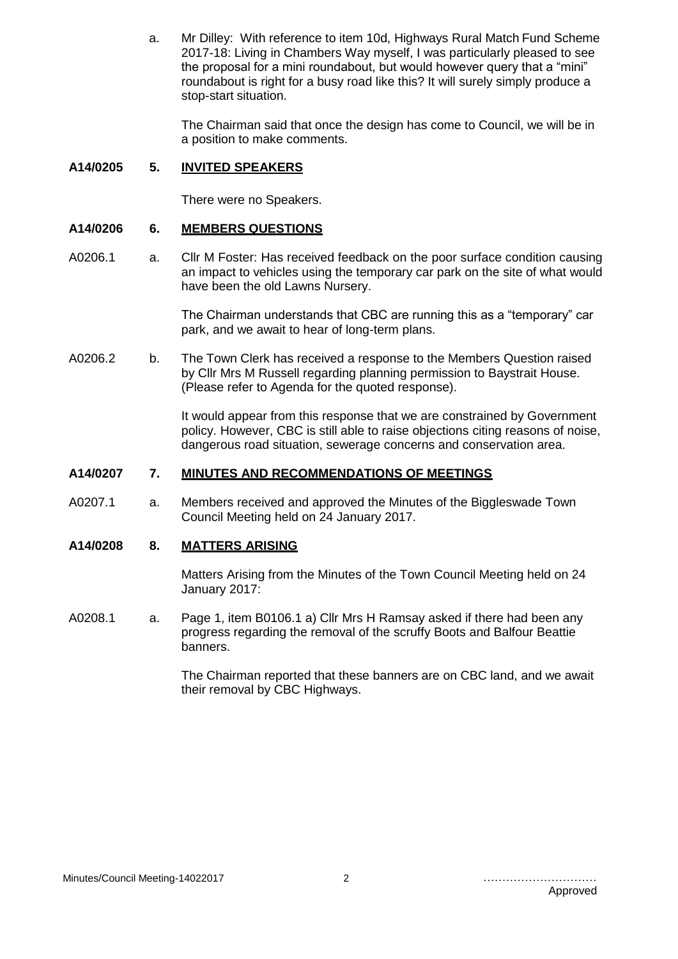a. Mr Dilley: With reference to item 10d, Highways Rural Match Fund Scheme 2017-18: Living in Chambers Way myself, I was particularly pleased to see the proposal for a mini roundabout, but would however query that a "mini" roundabout is right for a busy road like this? It will surely simply produce a stop-start situation.

The Chairman said that once the design has come to Council, we will be in a position to make comments.

#### **A14/0205 5. INVITED SPEAKERS**

There were no Speakers.

#### **A14/0206 6. MEMBERS QUESTIONS**

A0206.1 a. Cllr M Foster: Has received feedback on the poor surface condition causing an impact to vehicles using the temporary car park on the site of what would have been the old Lawns Nursery.

> The Chairman understands that CBC are running this as a "temporary" car park, and we await to hear of long-term plans.

A0206.2 b. The Town Clerk has received a response to the Members Question raised by Cllr Mrs M Russell regarding planning permission to Baystrait House. (Please refer to Agenda for the quoted response).

> It would appear from this response that we are constrained by Government policy. However, CBC is still able to raise objections citing reasons of noise, dangerous road situation, sewerage concerns and conservation area.

#### **A14/0207 7. MINUTES AND RECOMMENDATIONS OF MEETINGS**

A0207.1 a. Members received and approved the Minutes of the Biggleswade Town Council Meeting held on 24 January 2017.

# **A14/0208 8. MATTERS ARISING**

Matters Arising from the Minutes of the Town Council Meeting held on 24 January 2017:

A0208.1 a. Page 1, item B0106.1 a) Cllr Mrs H Ramsay asked if there had been any progress regarding the removal of the scruffy Boots and Balfour Beattie banners.

> The Chairman reported that these banners are on CBC land, and we await their removal by CBC Highways.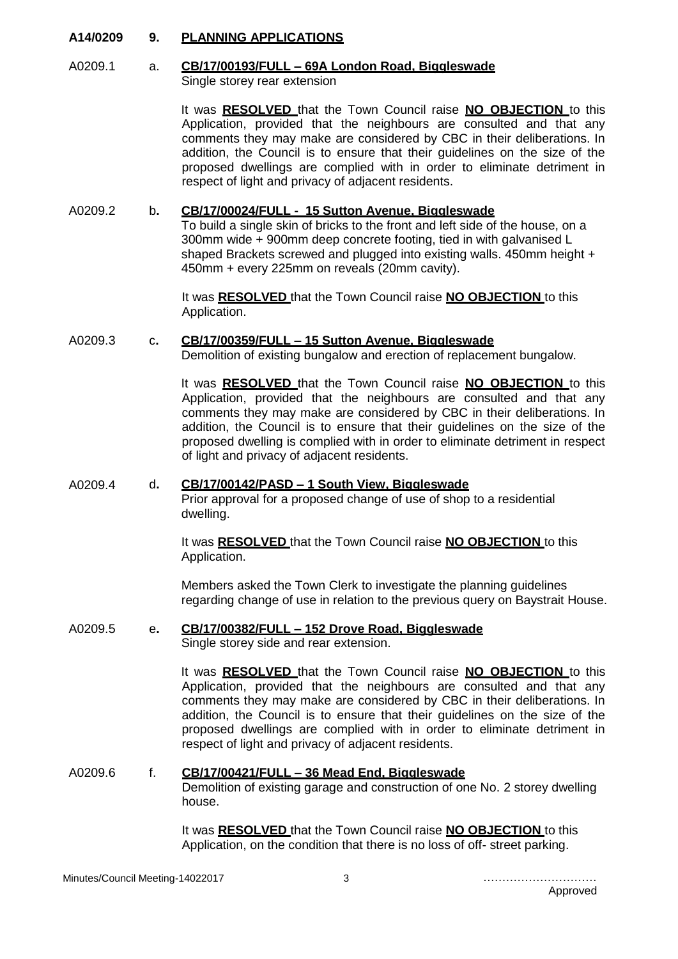## **A14/0209 9. PLANNING APPLICATIONS**

#### A0209.1 a. **CB/17/00193/FULL – 69A London Road, Biggleswade** Single storey rear extension

It was **RESOLVED** that the Town Council raise **NO OBJECTION** to this Application, provided that the neighbours are consulted and that any comments they may make are considered by CBC in their deliberations. In addition, the Council is to ensure that their guidelines on the size of the proposed dwellings are complied with in order to eliminate detriment in respect of light and privacy of adjacent residents.

A0209.2 b**. CB/17/00024/FULL - 15 Sutton Avenue, Biggleswade**

To build a single skin of bricks to the front and left side of the house, on a 300mm wide + 900mm deep concrete footing, tied in with galvanised L shaped Brackets screwed and plugged into existing walls. 450mm height + 450mm + every 225mm on reveals (20mm cavity).

It was **RESOLVED** that the Town Council raise **NO OBJECTION** to this Application.

# A0209.3 c**. CB/17/00359/FULL – 15 Sutton Avenue, Biggleswade**

Demolition of existing bungalow and erection of replacement bungalow.

It was **RESOLVED** that the Town Council raise **NO OBJECTION** to this Application, provided that the neighbours are consulted and that any comments they may make are considered by CBC in their deliberations. In addition, the Council is to ensure that their guidelines on the size of the proposed dwelling is complied with in order to eliminate detriment in respect of light and privacy of adjacent residents.

# A0209.4 d**. CB/17/00142/PASD – 1 South View, Biggleswade**

Prior approval for a proposed change of use of shop to a residential dwelling.

It was **RESOLVED** that the Town Council raise **NO OBJECTION** to this Application.

Members asked the Town Clerk to investigate the planning guidelines regarding change of use in relation to the previous query on Baystrait House.

# A0209.5 e**. CB/17/00382/FULL – 152 Drove Road, Biggleswade**

Single storey side and rear extension.

It was **RESOLVED** that the Town Council raise **NO OBJECTION** to this Application, provided that the neighbours are consulted and that any comments they may make are considered by CBC in their deliberations. In addition, the Council is to ensure that their guidelines on the size of the proposed dwellings are complied with in order to eliminate detriment in respect of light and privacy of adjacent residents.

# A0209.6 f. **CB/17/00421/FULL – 36 Mead End, Biggleswade** Demolition of existing garage and construction of one No. 2 storey dwelling house.

It was **RESOLVED** that the Town Council raise **NO OBJECTION** to this Application, on the condition that there is no loss of off- street parking.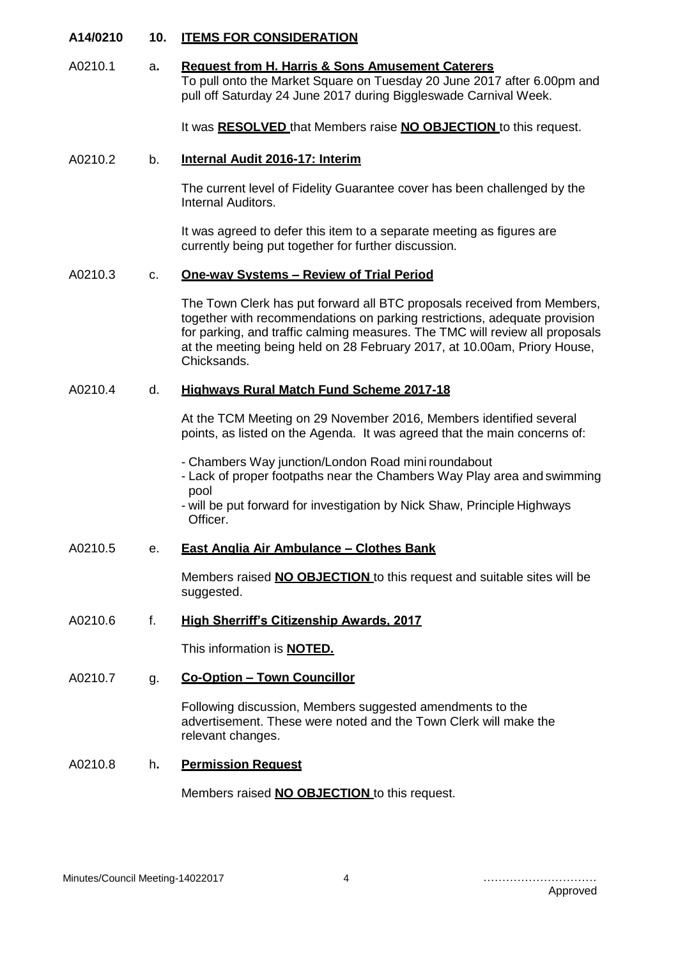## **A14/0210 10. ITEMS FOR CONSIDERATION**

A0210.1 a**. Request from H. Harris & Sons Amusement Caterers** To pull onto the Market Square on Tuesday 20 June 2017 after 6.00pm and pull off Saturday 24 June 2017 during Biggleswade Carnival Week.

It was **RESOLVED** that Members raise **NO OBJECTION** to this request.

#### A0210.2 b. **Internal Audit 2016-17: Interim**

The current level of Fidelity Guarantee cover has been challenged by the Internal Auditors.

It was agreed to defer this item to a separate meeting as figures are currently being put together for further discussion.

## A0210.3 c. **One-way Systems – Review of Trial Period**

The Town Clerk has put forward all BTC proposals received from Members, together with recommendations on parking restrictions, adequate provision for parking, and traffic calming measures. The TMC will review all proposals at the meeting being held on 28 February 2017, at 10.00am, Priory House, Chicksands.

## A0210.4 d. **Highways Rural Match Fund Scheme 2017-18**

At the TCM Meeting on 29 November 2016, Members identified several points, as listed on the Agenda. It was agreed that the main concerns of:

- Chambers Way junction/London Road mini roundabout

- Lack of proper footpaths near the Chambers Way Play area and swimming pool

- will be put forward for investigation by Nick Shaw, Principle Highways Officer.

## A0210.5 e. **East Anglia Air Ambulance – Clothes Bank**

Members raised **NO OBJECTION** to this request and suitable sites will be suggested.

# A0210.6 f. **High Sherriff's Citizenship Awards, 2017**

This information is **NOTED.**

#### A0210.7 g. **Co-Option – Town Councillor**

Following discussion, Members suggested amendments to the advertisement. These were noted and the Town Clerk will make the relevant changes.

#### A0210.8 h**. Permission Request**

Members raised **NO OBJECTION** to this request.